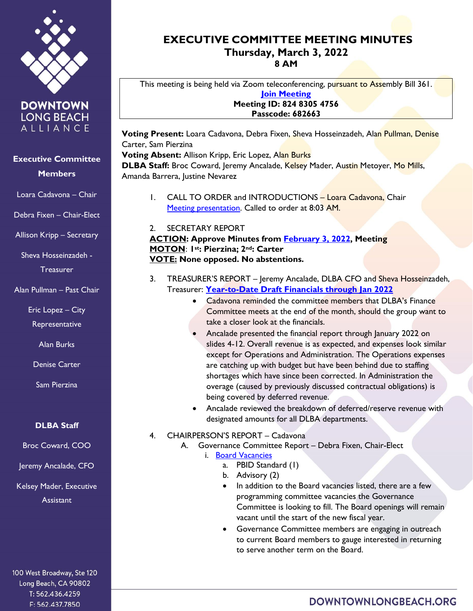

**DOWNTOWN LONG BEACH** ALLIANCE

## **Executive Committee Members**

Loara Cadavona – Chair

Debra Fixen – Chair-Elect

Allison Kripp – Secretary

Sheva Hosseinzadeh - Treasurer

Alan Pullman – Past Chair

Eric Lopez – City

Representative

Alan Burks

Denise Carter

Sam Pierzina

### **DLBA Staff**

Broc Coward, COO

Jeremy Ancalade, CFO

Kelsey Mader, Executive **Assistant** 

100 West Broadway, Ste 120 Long Beach, CA 90802 T: 562.436.4259 F: 562.437.7850

# **EXECUTIVE COMMITTEE MEETING MINUTES Thursday, March 3, 2022 8 AM**

This meeting is being held via Zoom teleconferencing, pursuant to Assembly Bill 361. **[Join Meeting](https://us02web.zoom.us/j/82483054756?pwd=ZjQ3N2J4cnpxVnErRktpWGtSUm53UT09) Meeting ID: 824 8305 4756 Passcode: 682663**

**Voting Present:** Loara Cadavona, Debra Fixen, Sheva Hosseinzadeh, Alan Pullman, Denise Carter, Sam Pierzina

**Voting Absent:** Allison Kripp, Eric Lopez, Alan Burks **DLBA Staff:** Broc Coward, Jeremy Ancalade, Kelsey Mader, Austin Metoyer, Mo Mills, Amanda Barrera, Justine Nevarez

- 1. CALL TO ORDER and INTRODUCTIONS Loara Cadavona, Chair [Meeting presentation.](https://downtownlongbeach.org/wp-content/uploads/EC-Presentation-3-3-22-F.pdf) Called to order at 8:03 AM.
- 2. SECRETARY REPORT

**ACTION: Approve Minutes from [February 3, 2022](https://downtownlongbeach.org/wp-content/uploads/2-3-22-Minutes-F.pdf), Meeting MOTON**: **1st: Pierzina; 2nd: Carter VOTE: None opposed. No abstentions.** 

- 3. TREASURER'S REPORT Jeremy Ancalade, DLBA CFO and Sheva Hosseinzadeh, Treasurer: **[Year-to-Date Draft Financials through Jan](https://downtownlongbeach.org/wp-content/uploads/DLBA-Financial-Package-January-2022.pdf) 2022**
	- Cadavona reminded the committee members that DLBA's Finance Committee meets at the end of the month, should the group want to take a closer look at the financials.
	- Ancalade presented the financial report through January 2022 on slides 4-12. Overall revenue is as expected, and expenses look similar except for Operations and Administration. The Operations expenses are catching up with budget but have been behind due to staffing shortages which have since been corrected. In Administration the overage (caused by previously discussed contractual obligations) is being covered by deferred revenue.
	- Ancalade reviewed the breakdown of deferred/reserve revenue with designated amounts for all DLBA departments.
- 4. CHAIRPERSON'S REPORT Cadavona
	- A. Governance Committee Report Debra Fixen, Chair-Elect
		- i. [Board Vacancies](https://downtownlongbeach.org/wp-content/uploads/04.-Board-Committee-Roster-2021-2022-2.pdf)
			- a. PBID Standard (1)
			- b. Advisory (2)
			- In addition to the Board vacancies listed, there are a few programming committee vacancies the Governance Committee is looking to fill. The Board openings will remain vacant until the start of the new fiscal year.
			- Governance Committee members are engaging in outreach to current Board members to gauge interested in returning to serve another term on the Board.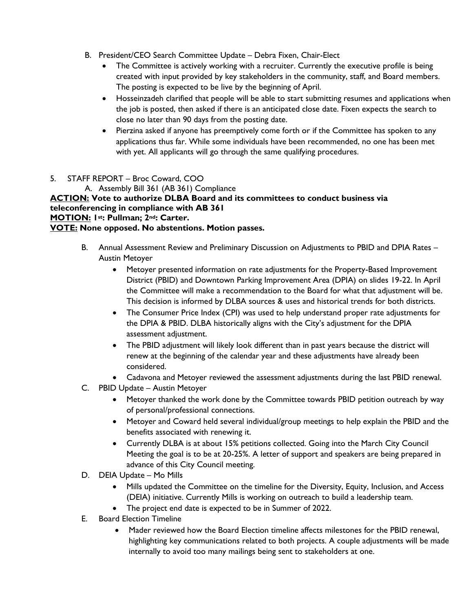- B. President/CEO Search Committee Update Debra Fixen, Chair-Elect
	- The Committee is actively working with a recruiter. Currently the executive profile is being created with input provided by key stakeholders in the community, staff, and Board members. The posting is expected to be live by the beginning of April.
	- Hosseinzadeh clarified that people will be able to start submitting resumes and applications when the job is posted, then asked if there is an anticipated close date. Fixen expects the search to close no later than 90 days from the posting date.
	- Pierzina asked if anyone has preemptively come forth or if the Committee has spoken to any applications thus far. While some individuals have been recommended, no one has been met with yet. All applicants will go through the same qualifying procedures.
- 5. STAFF REPORT Broc Coward, COO
	- A. Assembly Bill 361 (AB 361) Compliance

**ACTION: Vote to authorize DLBA Board and its committees to conduct business via teleconferencing in compliance with AB 361 MOTION: 1st: Pullman; 2nd: Carter. VOTE: None opposed. No abstentions. Motion passes.** 

- B. Annual Assessment Review and Preliminary Discussion on Adjustments to PBID and DPIA Rates Austin Metoyer
	- Metoyer presented information on rate adjustments for the Property-Based Improvement District (PBID) and Downtown Parking Improvement Area (DPIA) on slides 19-22. In April the Committee will make a recommendation to the Board for what that adjustment will be. This decision is informed by DLBA sources & uses and historical trends for both districts.
	- The Consumer Price Index (CPI) was used to help understand proper rate adjustments for the DPIA & PBID. DLBA historically aligns with the City's adjustment for the DPIA assessment adjustment.
	- The PBID adjustment will likely look different than in past years because the district will renew at the beginning of the calendar year and these adjustments have already been considered.
	- Cadavona and Metoyer reviewed the assessment adjustments during the last PBID renewal.
- C. PBID Update Austin Metoyer
	- Metoyer thanked the work done by the Committee towards PBID petition outreach by way of personal/professional connections.
	- Metoyer and Coward held several individual/group meetings to help explain the PBID and the benefits associated with renewing it.
	- Currently DLBA is at about 15% petitions collected. Going into the March City Council Meeting the goal is to be at 20-25%. A letter of support and speakers are being prepared in advance of this City Council meeting.
- D. DEIA Update Mo Mills
	- Mills updated the Committee on the timeline for the Diversity, Equity, Inclusion, and Access (DEIA) initiative. Currently Mills is working on outreach to build a leadership team.
	- The project end date is expected to be in Summer of 2022.
- E. Board Election Timeline
	- Mader reviewed how the Board Election timeline affects milestones for the PBID renewal, highlighting key communications related to both projects. A couple adjustments will be made internally to avoid too many mailings being sent to stakeholders at one.